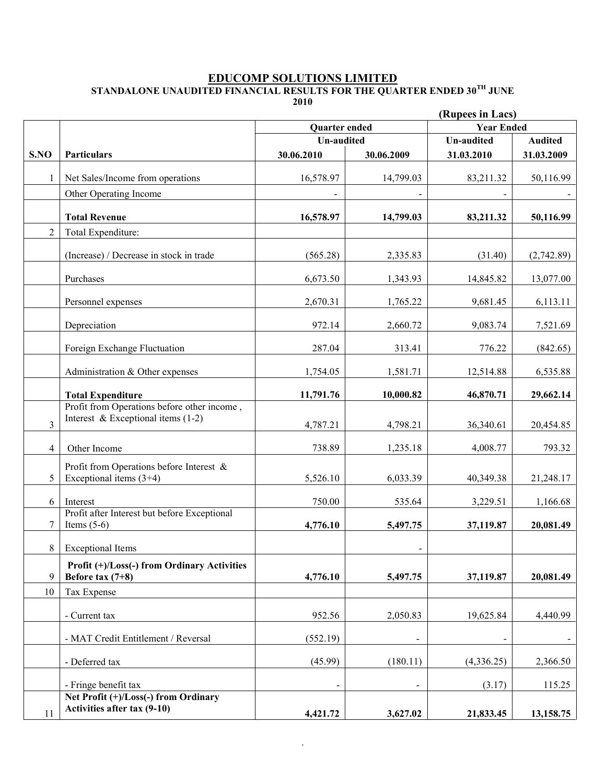#### **EDUCOMP SOLUTIONS LIMITED**

**STANDALONE UNAUDITED FINANCIAL RESULTS FOR THE QUARTER ENDED 30TH JUNE** 

**2010**

|                | (Rupees in Lacs)                                                         |                   |                          |                   |                |  |
|----------------|--------------------------------------------------------------------------|-------------------|--------------------------|-------------------|----------------|--|
|                |                                                                          | Quarter ended     |                          | <b>Year Ended</b> |                |  |
|                |                                                                          | <b>Un-audited</b> |                          | <b>Un-audited</b> | <b>Audited</b> |  |
| S.NO           | <b>Particulars</b>                                                       | 30.06.2010        | 30.06.2009               | 31.03.2010        | 31.03.2009     |  |
| 1              | Net Sales/Income from operations                                         | 16,578.97         | 14,799.03                | 83,211.32         | 50,116.99      |  |
|                | Other Operating Income                                                   | $\blacksquare$    | $\blacksquare$           |                   |                |  |
|                |                                                                          |                   |                          |                   |                |  |
|                | <b>Total Revenue</b>                                                     | 16,578.97         | 14,799.03                | 83,211.32         | 50,116.99      |  |
| $\overline{2}$ | Total Expenditure:                                                       |                   |                          |                   |                |  |
|                | (Increase) / Decrease in stock in trade                                  | (565.28)          | 2,335.83                 | (31.40)           | (2,742.89)     |  |
|                | Purchases                                                                | 6,673.50          | 1,343.93                 | 14,845.82         | 13,077.00      |  |
|                | Personnel expenses                                                       | 2,670.31          | 1,765.22                 | 9,681.45          | 6,113.11       |  |
|                | Depreciation                                                             | 972.14            | 2,660.72                 | 9,083.74          | 7,521.69       |  |
|                | Foreign Exchange Fluctuation                                             | 287.04            | 313.41                   | 776.22            | (842.65)       |  |
|                | Administration & Other expenses                                          | 1,754.05          | 1,581.71                 | 12,514.88         | 6,535.88       |  |
|                | <b>Total Expenditure</b>                                                 | 11,791.76         | 10,000.82                | 46,870.71         | 29,662.14      |  |
|                | Profit from Operations before other income,                              |                   |                          |                   |                |  |
| $\overline{3}$ | Interest & Exceptional items $(1-2)$                                     | 4,787.21          | 4,798.21                 | 36,340.61         | 20,454.85      |  |
| 4              | Other Income                                                             | 738.89            | 1,235.18                 | 4,008.77          | 793.32         |  |
| 5              | Profit from Operations before Interest $\&$<br>Exceptional items $(3+4)$ | 5,526.10          | 6,033.39                 | 40,349.38         | 21,248.17      |  |
| 6              | Interest                                                                 | 750.00            | 535.64                   | 3,229.51          | 1,166.68       |  |
| 7              | Profit after Interest but before Exceptional<br>Items $(5-6)$            | 4,776.10          | 5,497.75                 | 37,119.87         | 20,081.49      |  |
| 8              | <b>Exceptional Items</b>                                                 |                   | $\blacksquare$           |                   |                |  |
| 9              | Profit (+)/Loss(-) from Ordinary Activities<br>Before tax $(7+8)$        | 4,776.10          | 5,497.75                 | 37,119.87         | 20,081.49      |  |
| 10             | Tax Expense                                                              |                   |                          |                   |                |  |
|                | - Current tax                                                            | 952.56            | 2,050.83                 | 19,625.84         | 4,440.99       |  |
|                | - MAT Credit Entitlement / Reversal                                      | (552.19)          | $\blacksquare$           |                   |                |  |
|                | - Deferred tax                                                           | (45.99)           | (180.11)                 | (4,336.25)        | 2,366.50       |  |
|                | - Fringe benefit tax                                                     |                   | $\overline{\phantom{0}}$ | (3.17)            | 115.25         |  |
| 11             | Net Profit (+)/Loss(-) from Ordinary<br>Activities after tax (9-10)      | 4,421.72          | 3,627.02                 | 21,833.45         | 13,158.75      |  |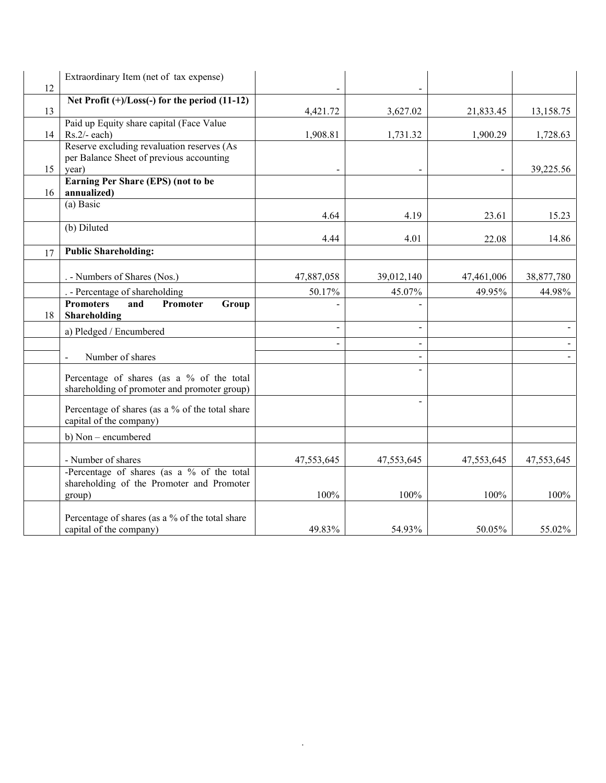| 12 | Extraordinary Item (net of tax expense)                                                              |                |            |            |            |
|----|------------------------------------------------------------------------------------------------------|----------------|------------|------------|------------|
| 13 | Net Profit $(+)/$ Loss $(-)$ for the period $(11-12)$                                                | 4,421.72       | 3,627.02   | 21,833.45  | 13,158.75  |
| 14 | Paid up Equity share capital (Face Value<br>$Rs.2/- each)$                                           | 1,908.81       | 1,731.32   | 1,900.29   | 1,728.63   |
| 15 | Reserve excluding revaluation reserves (As<br>per Balance Sheet of previous accounting<br>year)      |                |            |            | 39,225.56  |
| 16 | Earning Per Share (EPS) (not to be<br>annualized)                                                    |                |            |            |            |
|    | $(a)$ Basic                                                                                          | 4.64           | 4.19       | 23.61      | 15.23      |
|    | (b) Diluted                                                                                          | 4.44           | 4.01       | 22.08      | 14.86      |
| 17 | <b>Public Shareholding:</b>                                                                          |                |            |            |            |
|    | . - Numbers of Shares (Nos.)                                                                         | 47,887,058     | 39,012,140 | 47,461,006 | 38,877,780 |
|    | . - Percentage of shareholding                                                                       | 50.17%         | 45.07%     | 49.95%     | 44.98%     |
| 18 | <b>Promoters</b><br>and<br>Promoter<br>Group<br>Shareholding                                         |                |            |            |            |
|    | a) Pledged / Encumbered                                                                              | $\overline{a}$ |            |            |            |
|    | Number of shares                                                                                     |                |            |            |            |
|    | Percentage of shares (as a % of the total<br>shareholding of promoter and promoter group)            |                |            |            |            |
|    | Percentage of shares (as a % of the total share<br>capital of the company)                           |                |            |            |            |
|    | b) Non – encumbered                                                                                  |                |            |            |            |
|    | - Number of shares                                                                                   | 47,553,645     | 47,553,645 | 47,553,645 | 47,553,645 |
|    | -Percentage of shares (as a $\%$ of the total<br>shareholding of the Promoter and Promoter<br>group) | 100%           | 100%       | 100%       | 100%       |
|    | Percentage of shares (as a % of the total share<br>capital of the company)                           | 49.83%         | 54.93%     | 50.05%     | 55.02%     |

.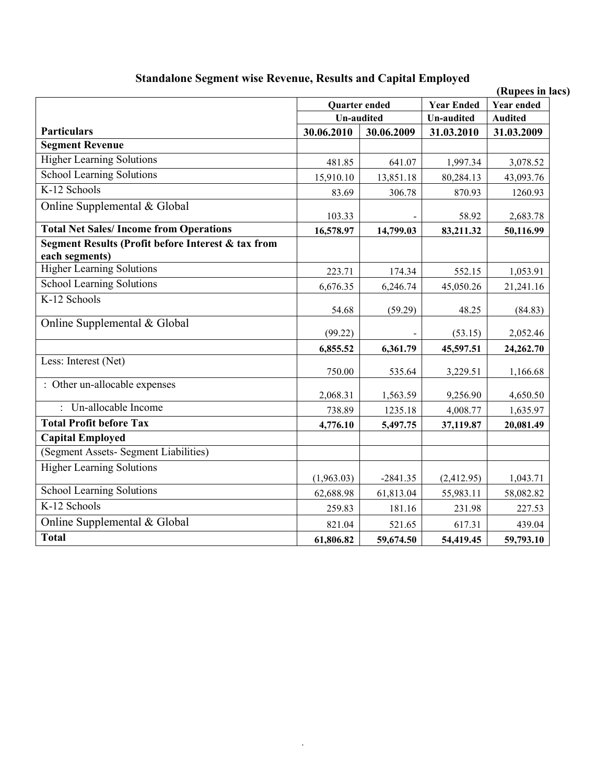| Standalone Segment wise Revenue, Results and Capital Employed        |            |                      |                   | (Rupees in lacs)  |  |
|----------------------------------------------------------------------|------------|----------------------|-------------------|-------------------|--|
|                                                                      |            | <b>Quarter ended</b> | <b>Year Ended</b> | <b>Year ended</b> |  |
|                                                                      |            | <b>Un-audited</b>    |                   | <b>Audited</b>    |  |
| <b>Particulars</b>                                                   | 30.06.2010 | 30.06.2009           | 31.03.2010        | 31.03.2009        |  |
| <b>Segment Revenue</b>                                               |            |                      |                   |                   |  |
| <b>Higher Learning Solutions</b>                                     | 481.85     | 641.07               | 1,997.34          | 3,078.52          |  |
| <b>School Learning Solutions</b>                                     | 15,910.10  | 13,851.18            | 80,284.13         | 43,093.76         |  |
| K-12 Schools                                                         | 83.69      | 306.78               | 870.93            | 1260.93           |  |
| Online Supplemental & Global                                         | 103.33     |                      | 58.92             | 2,683.78          |  |
| <b>Total Net Sales/Income from Operations</b>                        | 16,578.97  | 14,799.03            | 83,211.32         | 50,116.99         |  |
| Segment Results (Profit before Interest & tax from<br>each segments) |            |                      |                   |                   |  |
| <b>Higher Learning Solutions</b>                                     | 223.71     | 174.34               | 552.15            | 1,053.91          |  |
| <b>School Learning Solutions</b>                                     | 6,676.35   | 6,246.74             | 45,050.26         | 21,241.16         |  |
| K-12 Schools                                                         | 54.68      | (59.29)              | 48.25             | (84.83)           |  |
| Online Supplemental & Global                                         | (99.22)    |                      | (53.15)           | 2,052.46          |  |
|                                                                      | 6,855.52   | 6,361.79             | 45,597.51         | 24,262.70         |  |
| Less: Interest (Net)                                                 | 750.00     | 535.64               | 3,229.51          | 1,166.68          |  |
| : Other un-allocable expenses                                        | 2,068.31   | 1,563.59             | 9,256.90          | 4,650.50          |  |
| : Un-allocable Income                                                | 738.89     | 1235.18              | 4,008.77          | 1,635.97          |  |
| <b>Total Profit before Tax</b>                                       | 4,776.10   | 5,497.75             | 37,119.87         | 20,081.49         |  |
| <b>Capital Employed</b>                                              |            |                      |                   |                   |  |
| (Segment Assets- Segment Liabilities)                                |            |                      |                   |                   |  |
| <b>Higher Learning Solutions</b>                                     | (1,963.03) | $-2841.35$           | (2,412.95)        | 1,043.71          |  |
| School Learning Solutions                                            | 62,688.98  | 61,813.04            | 55,983.11         | 58,082.82         |  |
| K-12 Schools                                                         | 259.83     | 181.16               | 231.98            | 227.53            |  |
| Online Supplemental & Global                                         | 821.04     | 521.65               | 617.31            | 439.04            |  |
| <b>Total</b>                                                         | 61,806.82  | 59,674.50            | 54,419.45         | 59,793.10         |  |

# **Standalone Segment wise Revenue, Results and Capital Employed**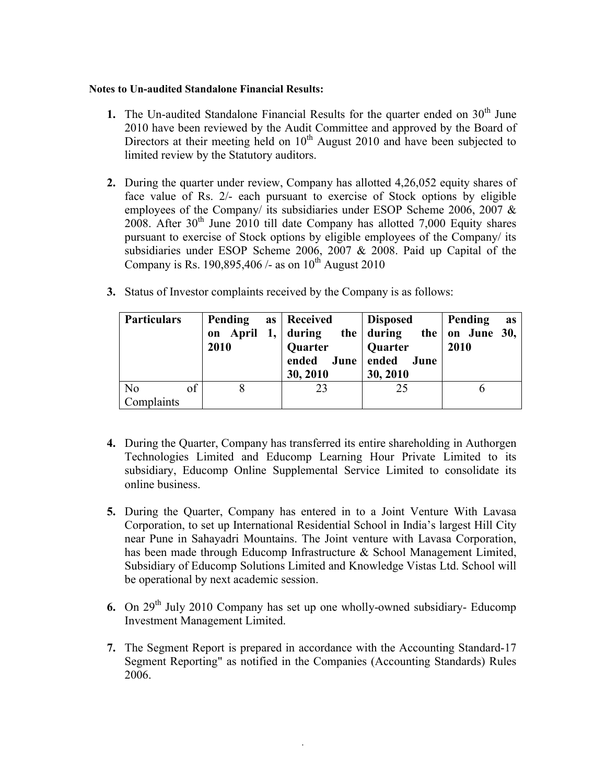### **Notes to Un-audited Standalone Financial Results:**

- **1.** The Un-audited Standalone Financial Results for the quarter ended on  $30<sup>th</sup>$  June 2010 have been reviewed by the Audit Committee and approved by the Board of Directors at their meeting held on  $10<sup>th</sup>$  August 2010 and have been subjected to limited review by the Statutory auditors.
- **2.** During the quarter under review, Company has allotted 4,26,052 equity shares of face value of Rs. 2/- each pursuant to exercise of Stock options by eligible employees of the Company/ its subsidiaries under ESOP Scheme 2006, 2007 & 2008. After  $30<sup>th</sup>$  June 2010 till date Company has allotted 7,000 Equity shares pursuant to exercise of Stock options by eligible employees of the Company/ its subsidiaries under ESOP Scheme 2006, 2007 & 2008. Paid up Capital of the Company is Rs. 190,895,406 /- as on  $10^{th}$  August 2010
- **3.** Status of Investor complaints received by the Company is as follows:

| <b>Particulars</b>   | Pending<br>2010 | as   Received<br>Quarter<br>30, 2010 | Disposed<br>on April 1, during the during the on June 30,<br>  Quarter<br>ended June ended June<br>30, 2010 | Pending<br>as<br>2010 |
|----------------------|-----------------|--------------------------------------|-------------------------------------------------------------------------------------------------------------|-----------------------|
| N <sub>0</sub><br>of |                 | 23                                   | 25                                                                                                          |                       |
| <b>Complaints</b>    |                 |                                      |                                                                                                             |                       |

- **4.** During the Quarter, Company has transferred its entire shareholding in Authorgen Technologies Limited and Educomp Learning Hour Private Limited to its subsidiary, Educomp Online Supplemental Service Limited to consolidate its online business.
- **5.** During the Quarter, Company has entered in to a Joint Venture With Lavasa Corporation, to set up International Residential School in India's largest Hill City near Pune in Sahayadri Mountains. The Joint venture with Lavasa Corporation, has been made through Educomp Infrastructure & School Management Limited, Subsidiary of Educomp Solutions Limited and Knowledge Vistas Ltd. School will be operational by next academic session.
- **6.** On 29<sup>th</sup> July 2010 Company has set up one wholly-owned subsidiary- Educomp Investment Management Limited.
- **7.** The Segment Report is prepared in accordance with the Accounting Standard-17 Segment Reporting" as notified in the Companies (Accounting Standards) Rules 2006.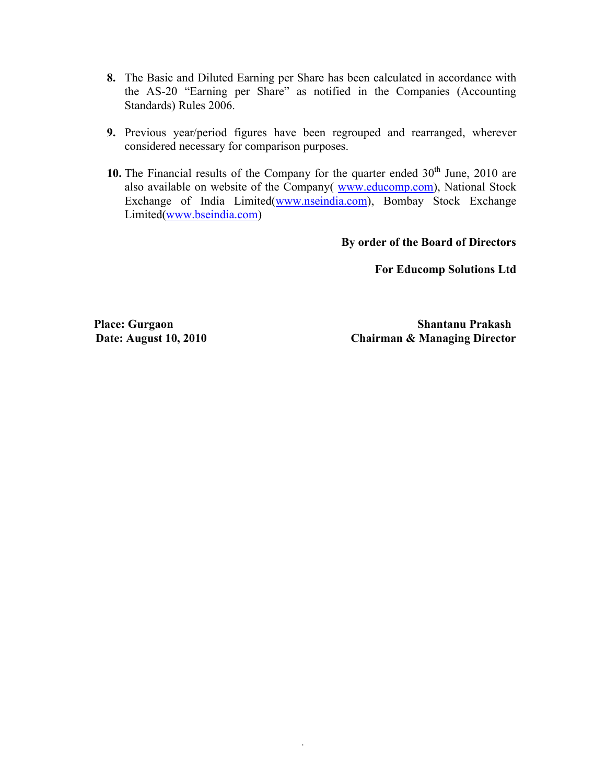- **8.** The Basic and Diluted Earning per Share has been calculated in accordance with the AS-20 "Earning per Share" as notified in the Companies (Accounting Standards) Rules 2006.
- **9.** Previous year/period figures have been regrouped and rearranged, wherever considered necessary for comparison purposes.
- 10. The Financial results of the Company for the quarter ended  $30<sup>th</sup>$  June, 2010 are also available on website of the Company( www.educomp.com), National Stock Exchange of India Limited(www.nseindia.com), Bombay Stock Exchange Limited(www.bseindia.com)

 **By order of the Board of Directors**

**For Educomp Solutions Ltd**

**Place: Gurgaon Shantanu Prakash Date: August 10, 2010 Chairman & Managing Director**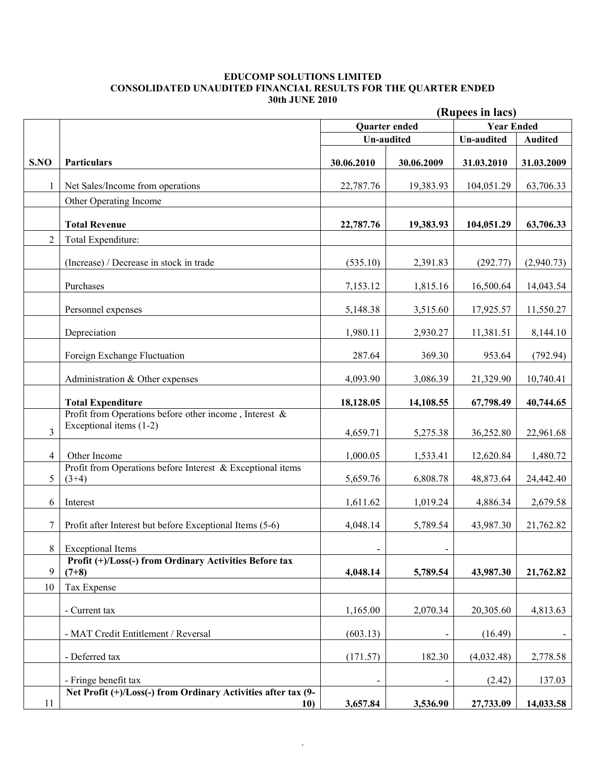#### **EDUCOMP SOLUTIONS LIMITED CONSOLIDATED UNAUDITED FINANCIAL RESULTS FOR THE QUARTER ENDED 30th JUNE 2010**

|                |                                                                      | (Rupees in lacs)  |               |                   |                |
|----------------|----------------------------------------------------------------------|-------------------|---------------|-------------------|----------------|
|                |                                                                      |                   | Quarter ended | <b>Year Ended</b> |                |
|                |                                                                      | <b>Un-audited</b> |               | Un-audited        | <b>Audited</b> |
|                |                                                                      |                   |               |                   |                |
| S.NO           | <b>Particulars</b>                                                   | 30.06.2010        | 30.06.2009    | 31.03.2010        | 31.03.2009     |
| 1              | Net Sales/Income from operations                                     | 22,787.76         | 19,383.93     | 104,051.29        | 63,706.33      |
|                | Other Operating Income                                               |                   |               |                   |                |
|                | <b>Total Revenue</b>                                                 | 22,787.76         | 19,383.93     | 104,051.29        | 63,706.33      |
| $\overline{2}$ | Total Expenditure:                                                   |                   |               |                   |                |
|                |                                                                      |                   |               |                   |                |
|                | (Increase) / Decrease in stock in trade                              | (535.10)          | 2,391.83      | (292.77)          | (2,940.73)     |
|                | Purchases                                                            | 7,153.12          | 1,815.16      | 16,500.64         | 14,043.54      |
|                | Personnel expenses                                                   | 5,148.38          | 3,515.60      | 17,925.57         | 11,550.27      |
|                | Depreciation                                                         | 1,980.11          | 2,930.27      | 11,381.51         | 8,144.10       |
|                | Foreign Exchange Fluctuation                                         | 287.64            | 369.30        | 953.64            | (792.94)       |
|                | Administration & Other expenses                                      | 4,093.90          | 3,086.39      | 21,329.90         | 10,740.41      |
|                | <b>Total Expenditure</b>                                             | 18,128.05         | 14,108.55     | 67,798.49         | 40,744.65      |
|                | Profit from Operations before other income, Interest $\&$            |                   |               |                   |                |
| 3              | Exceptional items (1-2)                                              | 4,659.71          | 5,275.38      | 36,252.80         | 22,961.68      |
| $\overline{4}$ | Other Income                                                         | 1,000.05          | 1,533.41      | 12,620.84         | 1,480.72       |
|                | Profit from Operations before Interest $\&$ Exceptional items        |                   |               |                   |                |
| 5 <sup>1</sup> | $(3+4)$                                                              | 5,659.76          | 6,808.78      | 48,873.64         | 24,442.40      |
| 6              | Interest                                                             | 1,611.62          | 1,019.24      | 4,886.34          | 2,679.58       |
| 7              | Profit after Interest but before Exceptional Items (5-6)             | 4,048.14          | 5,789.54      | 43,987.30         | 21,762.82      |
|                | 8 Exceptional Items                                                  |                   |               |                   |                |
|                | Profit (+)/Loss(-) from Ordinary Activities Before tax               |                   |               |                   |                |
| 9              | $(7+8)$                                                              | 4,048.14          | 5,789.54      | 43,987.30         | 21,762.82      |
| 10             | Tax Expense                                                          |                   |               |                   |                |
|                | - Current tax                                                        | 1,165.00          | 2,070.34      | 20,305.60         | 4,813.63       |
|                | - MAT Credit Entitlement / Reversal                                  | (603.13)          |               | (16.49)           |                |
|                | - Deferred tax                                                       | (171.57)          | 182.30        | (4,032.48)        | 2,778.58       |
|                | - Fringe benefit tax                                                 |                   |               | (2.42)            | 137.03         |
| 11             | Net Profit (+)/Loss(-) from Ordinary Activities after tax (9-<br>10) | 3,657.84          | 3,536.90      | 27,733.09         | 14,033.58      |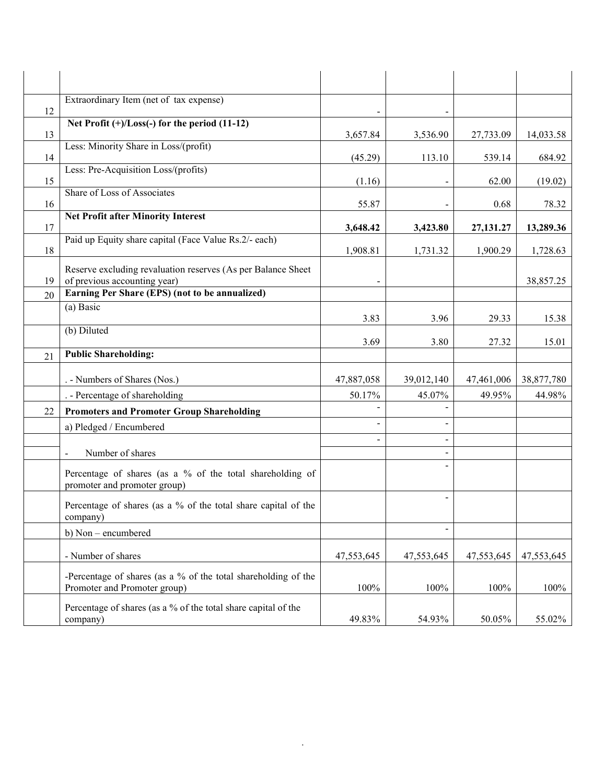|    | Extraordinary Item (net of tax expense)                                                        |                |                          |            |            |
|----|------------------------------------------------------------------------------------------------|----------------|--------------------------|------------|------------|
| 12 | Net Profit $(+)/$ Loss $(-)$ for the period $(11-12)$                                          |                |                          |            |            |
| 13 | Less: Minority Share in Loss/(profit)                                                          | 3,657.84       | 3,536.90                 | 27,733.09  | 14,033.58  |
| 14 |                                                                                                | (45.29)        | 113.10                   | 539.14     | 684.92     |
| 15 | Less: Pre-Acquisition Loss/(profits)                                                           | (1.16)         |                          | 62.00      | (19.02)    |
| 16 | Share of Loss of Associates                                                                    | 55.87          |                          | 0.68       | 78.32      |
| 17 | <b>Net Profit after Minority Interest</b>                                                      | 3,648.42       | 3,423.80                 | 27,131.27  | 13,289.36  |
| 18 | Paid up Equity share capital (Face Value Rs.2/- each)                                          | 1,908.81       | 1,731.32                 | 1,900.29   | 1,728.63   |
| 19 | Reserve excluding revaluation reserves (As per Balance Sheet<br>of previous accounting year)   |                |                          |            | 38,857.25  |
| 20 | Earning Per Share (EPS) (not to be annualized)                                                 |                |                          |            |            |
|    | (a) Basic                                                                                      | 3.83           | 3.96                     | 29.33      | 15.38      |
|    | (b) Diluted                                                                                    | 3.69           | 3.80                     | 27.32      | 15.01      |
| 21 | <b>Public Shareholding:</b>                                                                    |                |                          |            |            |
|    | . - Numbers of Shares (Nos.)                                                                   | 47,887,058     | 39,012,140               | 47,461,006 | 38,877,780 |
|    | . - Percentage of shareholding                                                                 | 50.17%         | 45.07%                   | 49.95%     | 44.98%     |
| 22 | <b>Promoters and Promoter Group Shareholding</b>                                               |                |                          |            |            |
|    | a) Pledged / Encumbered                                                                        |                |                          |            |            |
|    | Number of shares                                                                               | $\blacksquare$ |                          |            |            |
|    | Percentage of shares (as a % of the total shareholding of<br>promoter and promoter group)      |                |                          |            |            |
|    | Percentage of shares (as a % of the total share capital of the<br>company)                     |                | $\overline{\phantom{a}}$ |            |            |
|    | b) Non - encumbered                                                                            |                | $\blacksquare$           |            |            |
|    | - Number of shares                                                                             | 47,553,645     | 47,553,645               | 47,553,645 | 47,553,645 |
|    | -Percentage of shares (as a % of the total shareholding of the<br>Promoter and Promoter group) | 100%           | 100%                     | 100%       | 100%       |
|    | Percentage of shares (as a % of the total share capital of the<br>company)                     | 49.83%         | 54.93%                   | 50.05%     | 55.02%     |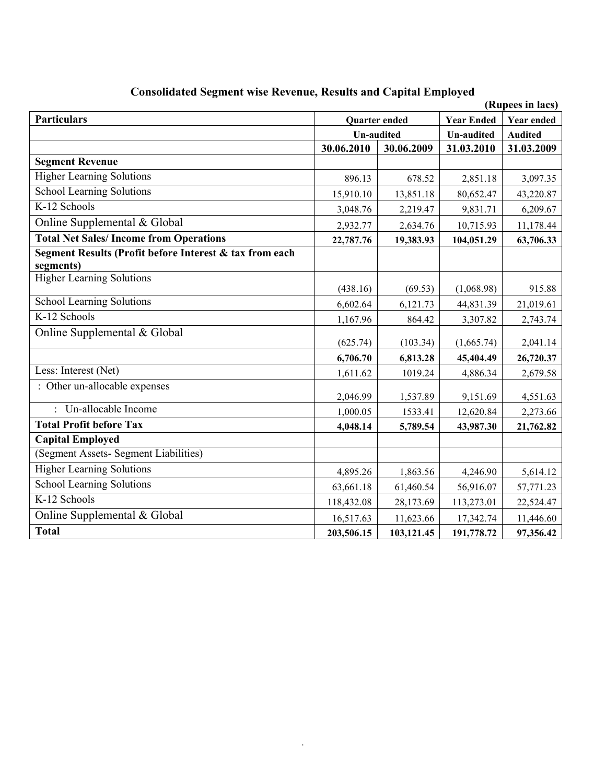| (Rupees in lacs)                                        |                   |            |                   |                |  |  |
|---------------------------------------------------------|-------------------|------------|-------------------|----------------|--|--|
| <b>Particulars</b>                                      | Quarter ended     |            | <b>Year Ended</b> | Year ended     |  |  |
|                                                         | <b>Un-audited</b> |            | <b>Un-audited</b> | <b>Audited</b> |  |  |
|                                                         | 30.06.2010        | 30.06.2009 | 31.03.2010        | 31.03.2009     |  |  |
| <b>Segment Revenue</b>                                  |                   |            |                   |                |  |  |
| <b>Higher Learning Solutions</b>                        | 896.13            | 678.52     | 2,851.18          | 3,097.35       |  |  |
| <b>School Learning Solutions</b>                        | 15,910.10         | 13,851.18  | 80,652.47         | 43,220.87      |  |  |
| K-12 Schools                                            | 3,048.76          | 2,219.47   | 9,831.71          | 6,209.67       |  |  |
| Online Supplemental & Global                            | 2,932.77          | 2,634.76   | 10,715.93         | 11,178.44      |  |  |
| <b>Total Net Sales/Income from Operations</b>           | 22,787.76         | 19,383.93  | 104,051.29        | 63,706.33      |  |  |
| Segment Results (Profit before Interest & tax from each |                   |            |                   |                |  |  |
| segments)                                               |                   |            |                   |                |  |  |
| <b>Higher Learning Solutions</b>                        | (438.16)          | (69.53)    | (1,068.98)        | 915.88         |  |  |
| <b>School Learning Solutions</b>                        | 6,602.64          | 6,121.73   | 44,831.39         | 21,019.61      |  |  |
| K-12 Schools                                            | 1,167.96          | 864.42     | 3,307.82          | 2,743.74       |  |  |
| Online Supplemental & Global                            |                   |            |                   |                |  |  |
|                                                         | (625.74)          | (103.34)   | (1,665.74)        | 2,041.14       |  |  |
|                                                         | 6,706.70          | 6,813.28   | 45,404.49         | 26,720.37      |  |  |
| Less: Interest (Net)                                    | 1,611.62          | 1019.24    | 4,886.34          | 2,679.58       |  |  |
| : Other un-allocable expenses                           | 2,046.99          | 1,537.89   | 9,151.69          | 4,551.63       |  |  |
| : Un-allocable Income                                   | 1,000.05          | 1533.41    | 12,620.84         | 2,273.66       |  |  |
| <b>Total Profit before Tax</b>                          | 4,048.14          | 5,789.54   | 43,987.30         | 21,762.82      |  |  |
| <b>Capital Employed</b>                                 |                   |            |                   |                |  |  |
| (Segment Assets- Segment Liabilities)                   |                   |            |                   |                |  |  |
| <b>Higher Learning Solutions</b>                        | 4,895.26          | 1,863.56   | 4,246.90          | 5,614.12       |  |  |
| <b>School Learning Solutions</b>                        | 63,661.18         | 61,460.54  | 56,916.07         | 57,771.23      |  |  |
| K-12 Schools                                            | 118,432.08        | 28,173.69  | 113,273.01        | 22,524.47      |  |  |
| Online Supplemental & Global                            | 16,517.63         | 11,623.66  | 17,342.74         | 11,446.60      |  |  |
| <b>Total</b>                                            | 203,506.15        | 103,121.45 | 191,778.72        | 97,356.42      |  |  |

# **Consolidated Segment wise Revenue, Results and Capital Employed**